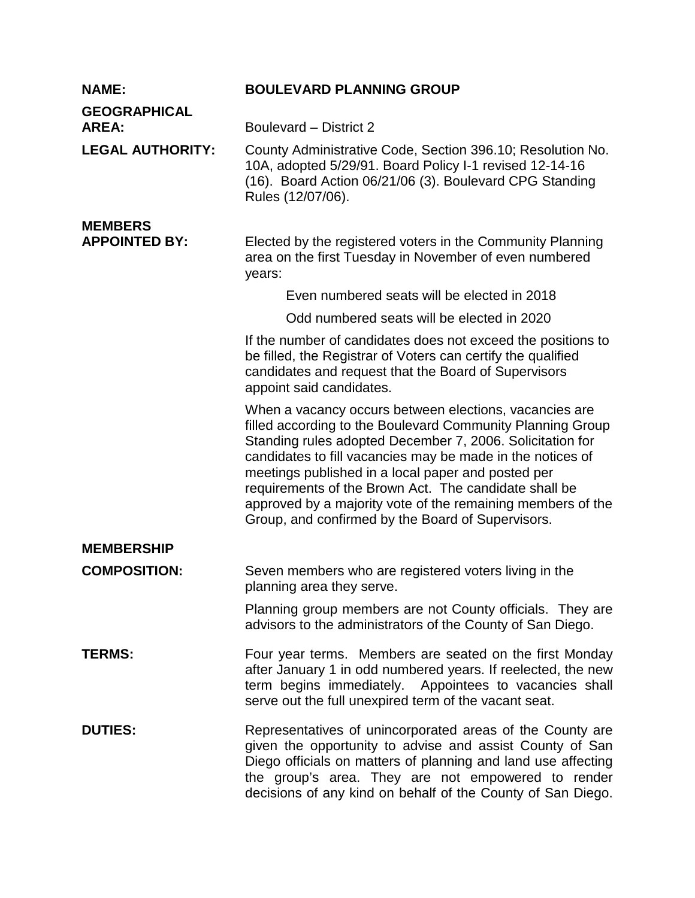| <b>NAME:</b>                           | <b>BOULEVARD PLANNING GROUP</b>                                                                                                                                                                                                                                                                                                                                                                                                                                                    |
|----------------------------------------|------------------------------------------------------------------------------------------------------------------------------------------------------------------------------------------------------------------------------------------------------------------------------------------------------------------------------------------------------------------------------------------------------------------------------------------------------------------------------------|
| <b>GEOGRAPHICAL</b><br><b>AREA:</b>    | Boulevard – District 2                                                                                                                                                                                                                                                                                                                                                                                                                                                             |
| <b>LEGAL AUTHORITY:</b>                | County Administrative Code, Section 396.10; Resolution No.<br>10A, adopted 5/29/91. Board Policy I-1 revised 12-14-16<br>(16). Board Action 06/21/06 (3). Boulevard CPG Standing<br>Rules (12/07/06).                                                                                                                                                                                                                                                                              |
| <b>MEMBERS</b><br><b>APPOINTED BY:</b> | Elected by the registered voters in the Community Planning<br>area on the first Tuesday in November of even numbered<br>years:                                                                                                                                                                                                                                                                                                                                                     |
|                                        | Even numbered seats will be elected in 2018                                                                                                                                                                                                                                                                                                                                                                                                                                        |
|                                        | Odd numbered seats will be elected in 2020                                                                                                                                                                                                                                                                                                                                                                                                                                         |
|                                        | If the number of candidates does not exceed the positions to<br>be filled, the Registrar of Voters can certify the qualified<br>candidates and request that the Board of Supervisors<br>appoint said candidates.                                                                                                                                                                                                                                                                   |
|                                        | When a vacancy occurs between elections, vacancies are<br>filled according to the Boulevard Community Planning Group<br>Standing rules adopted December 7, 2006. Solicitation for<br>candidates to fill vacancies may be made in the notices of<br>meetings published in a local paper and posted per<br>requirements of the Brown Act. The candidate shall be<br>approved by a majority vote of the remaining members of the<br>Group, and confirmed by the Board of Supervisors. |
| <b>MEMBERSHIP</b>                      |                                                                                                                                                                                                                                                                                                                                                                                                                                                                                    |
| <b>COMPOSITION:</b>                    | Seven members who are registered voters living in the<br>planning area they serve.                                                                                                                                                                                                                                                                                                                                                                                                 |
|                                        | Planning group members are not County officials. They are<br>advisors to the administrators of the County of San Diego.                                                                                                                                                                                                                                                                                                                                                            |
| <b>TERMS:</b>                          | Four year terms. Members are seated on the first Monday<br>after January 1 in odd numbered years. If reelected, the new<br>term begins immediately. Appointees to vacancies shall<br>serve out the full unexpired term of the vacant seat.                                                                                                                                                                                                                                         |
| <b>DUTIES:</b>                         | Representatives of unincorporated areas of the County are<br>given the opportunity to advise and assist County of San<br>Diego officials on matters of planning and land use affecting<br>the group's area. They are not empowered to render<br>decisions of any kind on behalf of the County of San Diego.                                                                                                                                                                        |